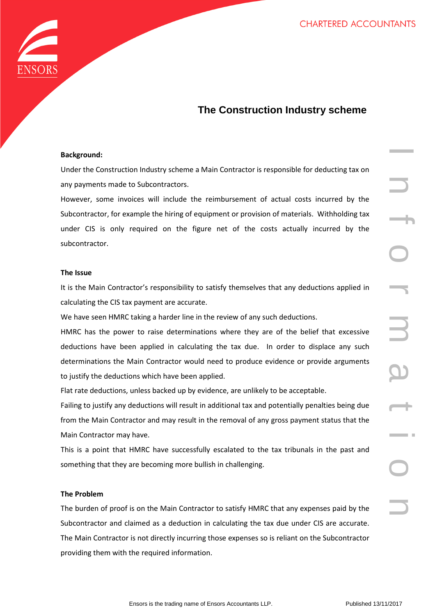

# **The Construction Industry scheme**

# **Background:**

Under the Construction Industry scheme a Main Contractor is responsible for deducting tax on any payments made to Subcontractors.

However, some invoices will include the reimbursement of actual costs incurred by the Subcontractor, for example the hiring of equipment or provision of materials. Withholding tax under CIS is only required on the figure net of the costs actually incurred by the subcontractor.

## **The Issue**

It is the Main Contractor's responsibility to satisfy themselves that any deductions applied in calculating the CIS tax payment are accurate.

We have seen HMRC taking a harder line in the review of any such deductions.

on Industry scheme a Main Contractor is responsible for deducting tax on<br>to Subcontractors.<br>
Sicus will include the reimbursement of actual costs incurred by the<br>
ample the hiring of equipment or provision of materials. Wi HMRC has the power to raise determinations where they are of the belief that excessive deductions have been applied in calculating the tax due. In order to displace any such determinations the Main Contractor would need to produce evidence or provide arguments to justify the deductions which have been applied.

Flat rate deductions, unless backed up by evidence, are unlikely to be acceptable.

Failing to justify any deductions will result in additional tax and potentially penalties being due from the Main Contractor and may result in the removal of any gross payment status that the Main Contractor may have.

This is a point that HMRC have successfully escalated to the tax tribunals in the past and something that they are becoming more bullish in challenging.

# **The Problem**

The burden of proof is on the Main Contractor to satisfy HMRC that any expenses paid by the Subcontractor and claimed as a deduction in calculating the tax due under CIS are accurate. The Main Contractor is not directly incurring those expenses so is reliant on the Subcontractor providing them with the required information.